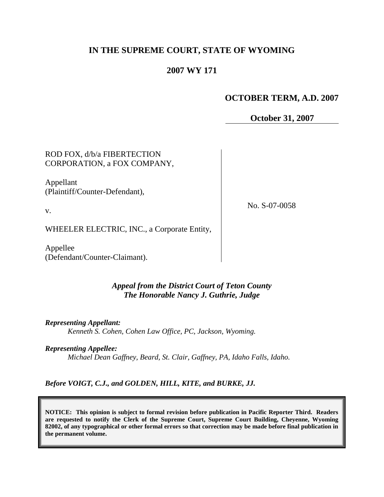# **IN THE SUPREME COURT, STATE OF WYOMING**

# **2007 WY 171**

# **OCTOBER TERM, A.D. 2007**

**October 31, 2007**

ROD FOX, d/b/a FIBERTECTION CORPORATION, a FOX COMPANY,

Appellant (Plaintiff/Counter-Defendant),

v.

No. S-07-0058

WHEELER ELECTRIC, INC., a Corporate Entity,

Appellee (Defendant/Counter-Claimant).

## *Appeal from the District Court of Teton County The Honorable Nancy J. Guthrie, Judge*

*Representing Appellant: Kenneth S. Cohen, Cohen Law Office, PC, Jackson, Wyoming.*

*Representing Appellee: Michael Dean Gaffney, Beard, St. Clair, Gaffney, PA, Idaho Falls, Idaho.*

*Before VOIGT, C.J., and GOLDEN, HILL, KITE, and BURKE, JJ.*

**NOTICE: This opinion is subject to formal revision before publication in Pacific Reporter Third. Readers are requested to notify the Clerk of the Supreme Court, Supreme Court Building, Cheyenne, Wyoming 82002, of any typographical or other formal errors so that correction may be made before final publication in the permanent volume.**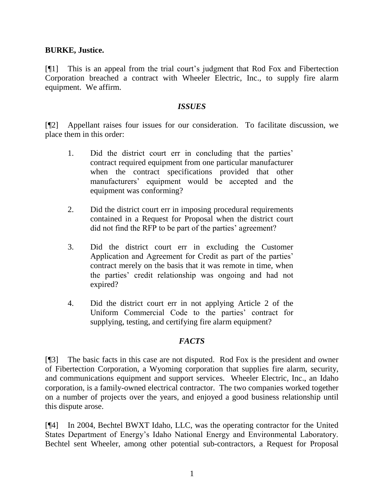### **BURKE, Justice.**

[¶1] This is an appeal from the trial court"s judgment that Rod Fox and Fibertection Corporation breached a contract with Wheeler Electric, Inc., to supply fire alarm equipment. We affirm.

### *ISSUES*

[¶2] Appellant raises four issues for our consideration. To facilitate discussion, we place them in this order:

- 1. Did the district court err in concluding that the parties' contract required equipment from one particular manufacturer when the contract specifications provided that other manufacturers" equipment would be accepted and the equipment was conforming?
- 2. Did the district court err in imposing procedural requirements contained in a Request for Proposal when the district court did not find the RFP to be part of the parties' agreement?
- 3. Did the district court err in excluding the Customer Application and Agreement for Credit as part of the parties' contract merely on the basis that it was remote in time, when the parties" credit relationship was ongoing and had not expired?
- 4. Did the district court err in not applying Article 2 of the Uniform Commercial Code to the parties' contract for supplying, testing, and certifying fire alarm equipment?

## *FACTS*

[¶3] The basic facts in this case are not disputed. Rod Fox is the president and owner of Fibertection Corporation, a Wyoming corporation that supplies fire alarm, security, and communications equipment and support services. Wheeler Electric, Inc., an Idaho corporation, is a family-owned electrical contractor. The two companies worked together on a number of projects over the years, and enjoyed a good business relationship until this dispute arose.

[¶4] In 2004, Bechtel BWXT Idaho, LLC, was the operating contractor for the United States Department of Energy"s Idaho National Energy and Environmental Laboratory. Bechtel sent Wheeler, among other potential sub-contractors, a Request for Proposal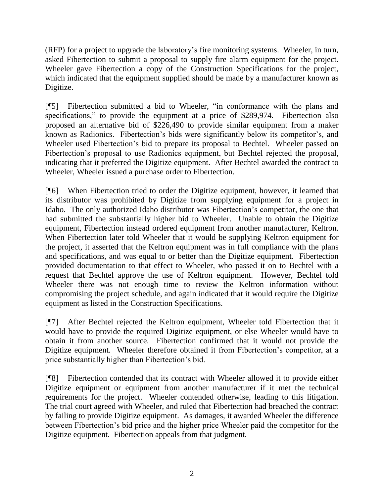(RFP) for a project to upgrade the laboratory"s fire monitoring systems. Wheeler, in turn, asked Fibertection to submit a proposal to supply fire alarm equipment for the project. Wheeler gave Fibertection a copy of the Construction Specifications for the project, which indicated that the equipment supplied should be made by a manufacturer known as Digitize.

[¶5] Fibertection submitted a bid to Wheeler, "in conformance with the plans and specifications," to provide the equipment at a price of \$289,974. Fibertection also proposed an alternative bid of \$226,490 to provide similar equipment from a maker known as Radionics. Fibertection's bids were significantly below its competitor's, and Wheeler used Fibertection"s bid to prepare its proposal to Bechtel. Wheeler passed on Fibertection"s proposal to use Radionics equipment, but Bechtel rejected the proposal, indicating that it preferred the Digitize equipment. After Bechtel awarded the contract to Wheeler, Wheeler issued a purchase order to Fibertection.

[¶6] When Fibertection tried to order the Digitize equipment, however, it learned that its distributor was prohibited by Digitize from supplying equipment for a project in Idaho. The only authorized Idaho distributor was Fibertection"s competitor, the one that had submitted the substantially higher bid to Wheeler. Unable to obtain the Digitize equipment, Fibertection instead ordered equipment from another manufacturer, Keltron. When Fibertection later told Wheeler that it would be supplying Keltron equipment for the project, it asserted that the Keltron equipment was in full compliance with the plans and specifications, and was equal to or better than the Digitize equipment. Fibertection provided documentation to that effect to Wheeler, who passed it on to Bechtel with a request that Bechtel approve the use of Keltron equipment. However, Bechtel told Wheeler there was not enough time to review the Keltron information without compromising the project schedule, and again indicated that it would require the Digitize equipment as listed in the Construction Specifications.

[¶7] After Bechtel rejected the Keltron equipment, Wheeler told Fibertection that it would have to provide the required Digitize equipment, or else Wheeler would have to obtain it from another source. Fibertection confirmed that it would not provide the Digitize equipment. Wheeler therefore obtained it from Fibertection's competitor, at a price substantially higher than Fibertection"s bid.

[¶8] Fibertection contended that its contract with Wheeler allowed it to provide either Digitize equipment or equipment from another manufacturer if it met the technical requirements for the project. Wheeler contended otherwise, leading to this litigation. The trial court agreed with Wheeler, and ruled that Fibertection had breached the contract by failing to provide Digitize equipment. As damages, it awarded Wheeler the difference between Fibertection"s bid price and the higher price Wheeler paid the competitor for the Digitize equipment. Fibertection appeals from that judgment.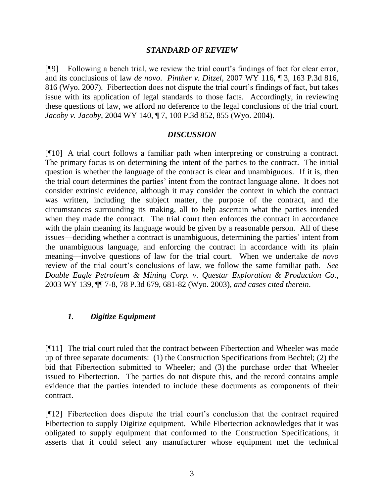#### *STANDARD OF REVIEW*

[¶9] Following a bench trial, we review the trial court"s findings of fact for clear error, and its conclusions of law *de novo*. *Pinther v. Ditzel*, 2007 WY 116, ¶ 3, 163 P.3d 816, 816 (Wyo. 2007). Fibertection does not dispute the trial court"s findings of fact, but takes issue with its application of legal standards to those facts. Accordingly, in reviewing these questions of law, we afford no deference to the legal conclusions of the trial court. *Jacoby v. Jacoby*, 2004 WY 140, ¶ 7, 100 P.3d 852, 855 (Wyo. 2004).

#### *DISCUSSION*

[¶10] A trial court follows a familiar path when interpreting or construing a contract. The primary focus is on determining the intent of the parties to the contract. The initial question is whether the language of the contract is clear and unambiguous. If it is, then the trial court determines the parties" intent from the contract language alone. It does not consider extrinsic evidence, although it may consider the context in which the contract was written, including the subject matter, the purpose of the contract, and the circumstances surrounding its making, all to help ascertain what the parties intended when they made the contract. The trial court then enforces the contract in accordance with the plain meaning its language would be given by a reasonable person. All of these issues—deciding whether a contract is unambiguous, determining the parties' intent from the unambiguous language, and enforcing the contract in accordance with its plain meaning—involve questions of law for the trial court. When we undertake *de novo* review of the trial court's conclusions of law, we follow the same familiar path. *See Double Eagle Petroleum & Mining Corp. v. Questar Exploration & Production Co.*, 2003 WY 139, ¶¶ 7-8, 78 P.3d 679, 681-82 (Wyo. 2003), *and cases cited therein*.

### *1. Digitize Equipment*

[¶11] The trial court ruled that the contract between Fibertection and Wheeler was made up of three separate documents: (1) the Construction Specifications from Bechtel; (2) the bid that Fibertection submitted to Wheeler; and (3) the purchase order that Wheeler issued to Fibertection. The parties do not dispute this, and the record contains ample evidence that the parties intended to include these documents as components of their contract.

[¶12] Fibertection does dispute the trial court"s conclusion that the contract required Fibertection to supply Digitize equipment. While Fibertection acknowledges that it was obligated to supply equipment that conformed to the Construction Specifications, it asserts that it could select any manufacturer whose equipment met the technical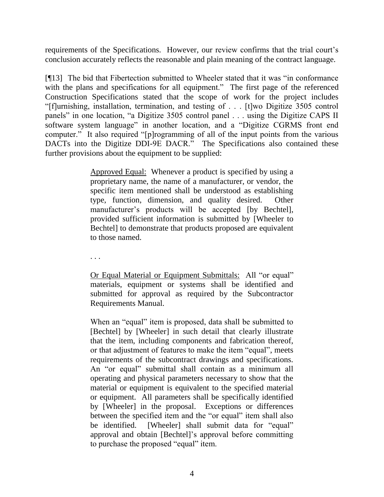requirements of the Specifications. However, our review confirms that the trial court's conclusion accurately reflects the reasonable and plain meaning of the contract language.

[¶13] The bid that Fibertection submitted to Wheeler stated that it was "in conformance with the plans and specifications for all equipment." The first page of the referenced Construction Specifications stated that the scope of work for the project includes "[f]urnishing, installation, termination, and testing of . . . [t]wo Digitize 3505 control panels" in one location, "a Digitize 3505 control panel . . . using the Digitize CAPS II software system language" in another location, and a "Digitize CGRMS front end computer." It also required "[p]rogramming of all of the input points from the various DACTs into the Digitize DDI-9E DACR." The Specifications also contained these further provisions about the equipment to be supplied:

> Approved Equal: Whenever a product is specified by using a proprietary name, the name of a manufacturer, or vendor, the specific item mentioned shall be understood as establishing type, function, dimension, and quality desired. Other manufacturer's products will be accepted [by Bechtel], provided sufficient information is submitted by [Wheeler to Bechtel] to demonstrate that products proposed are equivalent to those named.

. . .

Or Equal Material or Equipment Submittals: All "or equal" materials, equipment or systems shall be identified and submitted for approval as required by the Subcontractor Requirements Manual.

When an "equal" item is proposed, data shall be submitted to [Bechtel] by [Wheeler] in such detail that clearly illustrate that the item, including components and fabrication thereof, or that adjustment of features to make the item "equal", meets requirements of the subcontract drawings and specifications. An "or equal" submittal shall contain as a minimum all operating and physical parameters necessary to show that the material or equipment is equivalent to the specified material or equipment. All parameters shall be specifically identified by [Wheeler] in the proposal. Exceptions or differences between the specified item and the "or equal" item shall also be identified. [Wheeler] shall submit data for "equal" approval and obtain [Bechtel]"s approval before committing to purchase the proposed "equal" item.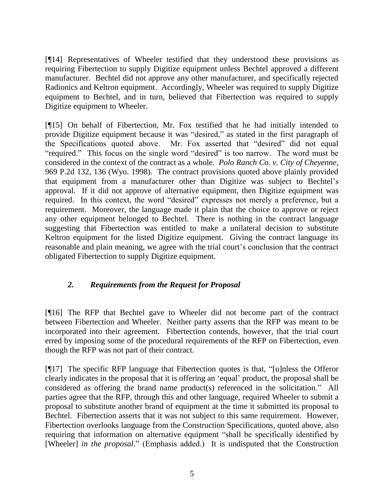[¶14] Representatives of Wheeler testified that they understood these provisions as requiring Fibertection to supply Digitize equipment unless Bechtel approved a different manufacturer. Bechtel did not approve any other manufacturer, and specifically rejected Radionics and Keltron equipment. Accordingly, Wheeler was required to supply Digitize equipment to Bechtel, and in turn, believed that Fibertection was required to supply Digitize equipment to Wheeler.

[¶15] On behalf of Fibertection, Mr. Fox testified that he had initially intended to provide Digitize equipment because it was "desired," as stated in the first paragraph of the Specifications quoted above. Mr. Fox asserted that "desired" did not equal "required." This focus on the single word "desired" is too narrow. The word must be considered in the context of the contract as a whole. *Polo Ranch Co. v. City of Cheyenne*, 969 P.2d 132, 136 (Wyo. 1998). The contract provisions quoted above plainly provided that equipment from a manufacturer other than Digitize was subject to Bechtel"s approval. If it did not approve of alternative equipment, then Digitize equipment was required. In this context, the word "desired" expresses not merely a preference, but a requirement. Moreover, the language made it plain that the choice to approve or reject any other equipment belonged to Bechtel. There is nothing in the contract language suggesting that Fibertection was entitled to make a unilateral decision to substitute Keltron equipment for the listed Digitize equipment. Giving the contract language its reasonable and plain meaning, we agree with the trial court's conclusion that the contract obligated Fibertection to supply Digitize equipment.

## *2. Requirements from the Request for Proposal*

[¶16] The RFP that Bechtel gave to Wheeler did not become part of the contract between Fibertection and Wheeler. Neither party asserts that the RFP was meant to be incorporated into their agreement. Fibertection contends, however, that the trial court erred by imposing some of the procedural requirements of the RFP on Fibertection, even though the RFP was not part of their contract.

[¶17] The specific RFP language that Fibertection quotes is that, "[u]nless the Offeror clearly indicates in the proposal that it is offering an "equal" product, the proposal shall be considered as offering the brand name product(s) referenced in the solicitation." All parties agree that the RFP, through this and other language, required Wheeler to submit a proposal to substitute another brand of equipment at the time it submitted its proposal to Bechtel. Fibertection asserts that it was not subject to this same requirement. However, Fibertection overlooks language from the Construction Specifications, quoted above, also requiring that information on alternative equipment "shall be specifically identified by [Wheeler] *in the proposal*." (Emphasis added.) It is undisputed that the Construction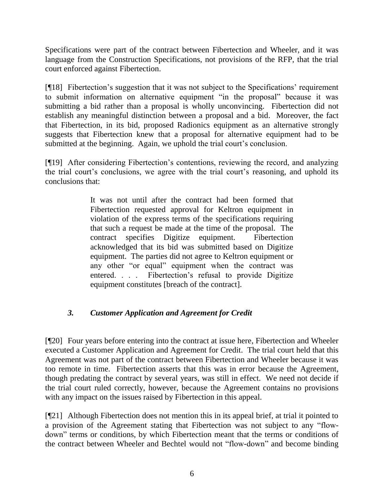Specifications were part of the contract between Fibertection and Wheeler, and it was language from the Construction Specifications, not provisions of the RFP, that the trial court enforced against Fibertection.

[¶18] Fibertection"s suggestion that it was not subject to the Specifications" requirement to submit information on alternative equipment "in the proposal" because it was submitting a bid rather than a proposal is wholly unconvincing. Fibertection did not establish any meaningful distinction between a proposal and a bid. Moreover, the fact that Fibertection, in its bid, proposed Radionics equipment as an alternative strongly suggests that Fibertection knew that a proposal for alternative equipment had to be submitted at the beginning. Again, we uphold the trial court's conclusion.

[¶19] After considering Fibertection"s contentions, reviewing the record, and analyzing the trial court's conclusions, we agree with the trial court's reasoning, and uphold its conclusions that:

> It was not until after the contract had been formed that Fibertection requested approval for Keltron equipment in violation of the express terms of the specifications requiring that such a request be made at the time of the proposal. The contract specifies Digitize equipment. Fibertection acknowledged that its bid was submitted based on Digitize equipment. The parties did not agree to Keltron equipment or any other "or equal" equipment when the contract was entered. . . . Fibertection"s refusal to provide Digitize equipment constitutes [breach of the contract].

# *3. Customer Application and Agreement for Credit*

[¶20] Four years before entering into the contract at issue here, Fibertection and Wheeler executed a Customer Application and Agreement for Credit. The trial court held that this Agreement was not part of the contract between Fibertection and Wheeler because it was too remote in time. Fibertection asserts that this was in error because the Agreement, though predating the contract by several years, was still in effect. We need not decide if the trial court ruled correctly, however, because the Agreement contains no provisions with any impact on the issues raised by Fibertection in this appeal.

[¶21] Although Fibertection does not mention this in its appeal brief, at trial it pointed to a provision of the Agreement stating that Fibertection was not subject to any "flowdown" terms or conditions, by which Fibertection meant that the terms or conditions of the contract between Wheeler and Bechtel would not "flow-down" and become binding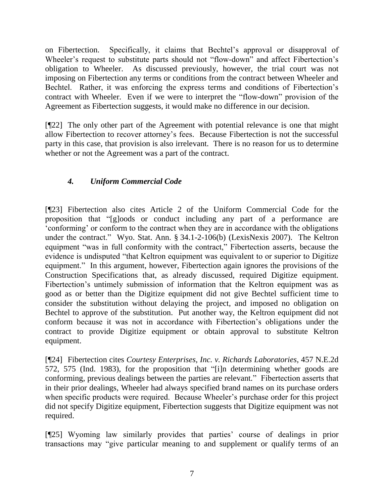on Fibertection. Specifically, it claims that Bechtel"s approval or disapproval of Wheeler's request to substitute parts should not "flow-down" and affect Fibertection's obligation to Wheeler. As discussed previously, however, the trial court was not imposing on Fibertection any terms or conditions from the contract between Wheeler and Bechtel. Rather, it was enforcing the express terms and conditions of Fibertection's contract with Wheeler. Even if we were to interpret the "flow-down" provision of the Agreement as Fibertection suggests, it would make no difference in our decision.

[¶22] The only other part of the Agreement with potential relevance is one that might allow Fibertection to recover attorney"s fees. Because Fibertection is not the successful party in this case, that provision is also irrelevant. There is no reason for us to determine whether or not the Agreement was a part of the contract.

# *4. Uniform Commercial Code*

[¶23] Fibertection also cites Article 2 of the Uniform Commercial Code for the proposition that "[g]oods or conduct including any part of a performance are "conforming" or conform to the contract when they are in accordance with the obligations under the contract." Wyo. Stat. Ann. § 34.1-2-106(b) (LexisNexis 2007). The Keltron equipment "was in full conformity with the contract," Fibertection asserts, because the evidence is undisputed "that Keltron equipment was equivalent to or superior to Digitize equipment." In this argument, however, Fibertection again ignores the provisions of the Construction Specifications that, as already discussed, required Digitize equipment. Fibertection's untimely submission of information that the Keltron equipment was as good as or better than the Digitize equipment did not give Bechtel sufficient time to consider the substitution without delaying the project, and imposed no obligation on Bechtel to approve of the substitution. Put another way, the Keltron equipment did not conform because it was not in accordance with Fibertection"s obligations under the contract to provide Digitize equipment or obtain approval to substitute Keltron equipment.

[¶24] Fibertection cites *Courtesy Enterprises, Inc. v. Richards Laboratories*, 457 N.E.2d 572, 575 (Ind. 1983), for the proposition that "[i]n determining whether goods are conforming, previous dealings between the parties are relevant." Fibertection asserts that in their prior dealings, Wheeler had always specified brand names on its purchase orders when specific products were required. Because Wheeler's purchase order for this project did not specify Digitize equipment, Fibertection suggests that Digitize equipment was not required.

[¶25] Wyoming law similarly provides that parties" course of dealings in prior transactions may "give particular meaning to and supplement or qualify terms of an